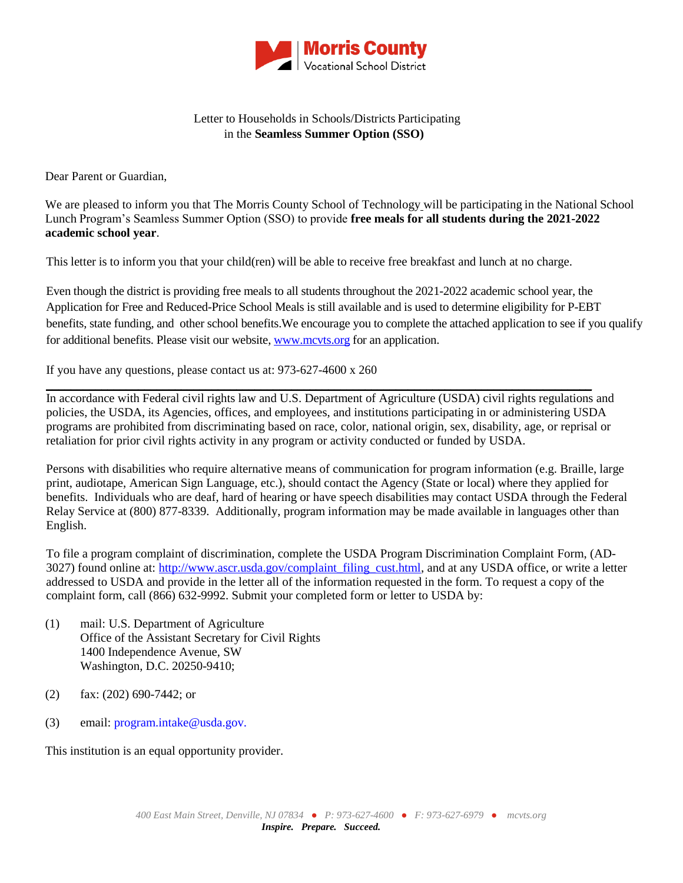

## Letter to Households in Schools/Districts Participating in the **Seamless Summer Option (SSO)**

Dear Parent or Guardian,

We are pleased to inform you that The Morris County School of Technology will be participating in the National School Lunch Program's Seamless Summer Option (SSO) to provide **free meals for all students during the 2021-2022 academic school year**.

This letter is to inform you that your child(ren) will be able to receive free breakfast and lunch at no charge.

Even though the district is providing free meals to all students throughout the 2021-2022 academic school year, the Application for Free and Reduced-Price School Meals is still available and is used to determine eligibility for P-EBT benefits, state funding, and other school benefits.We encourage you to complete the attached application to see if you qualify for additional benefits. Please visit our website[, www.mcvts.org](http://www.mcvts.org/) for an application.

If you have any questions, please contact us at: 973-627-4600 x 260

**\_\_\_\_\_\_\_\_\_\_\_\_\_\_\_\_\_\_\_\_\_\_\_\_\_\_\_\_\_\_\_\_\_\_\_\_\_\_\_\_\_\_\_\_\_\_\_\_\_\_\_\_\_\_\_\_\_\_\_\_\_\_\_\_\_\_\_\_\_\_\_\_\_\_\_\_\_\_\_\_\_\_\_\_\_\_\_\_\_** In accordance with Federal civil rights law and U.S. Department of Agriculture (USDA) civil rights regulations and policies, the USDA, its Agencies, offices, and employees, and institutions participating in or administering USDA programs are prohibited from discriminating based on race, color, national origin, sex, disability, age, or reprisal or retaliation for prior civil rights activity in any program or activity conducted or funded by USDA.

Persons with disabilities who require alternative means of communication for program information (e.g. Braille, large print, audiotape, American Sign Language, etc.), should contact the Agency (State or local) where they applied for benefits. Individuals who are deaf, hard of hearing or have speech disabilities may contact USDA through the Federal Relay Service at (800) 877-8339. Additionally, program information may be made available in languages other than English.

To file a program complaint of discrimination, complete the USDA Program Discrimination Complaint Form, (AD-3027) found online at: [http://www.ascr.usda.gov/complaint\\_filing\\_cust.html,](http://www.ascr.usda.gov/complaint_filing_cust.html) and at any USDA office, or write a letter addressed to USDA and provide in the letter all of the information requested in the form. To request a copy of the complaint form, call (866) 632-9992. Submit your completed form or letter to USDA by:

- (1) mail: U.S. Department of Agriculture Office of the Assistant Secretary for Civil Rights 1400 Independence Avenue, SW Washington, D.C. 20250-9410;
- (2) fax: (202) 690-7442; or
- (3) email: program.intake@usda.gov.

This institution is an equal opportunity provider.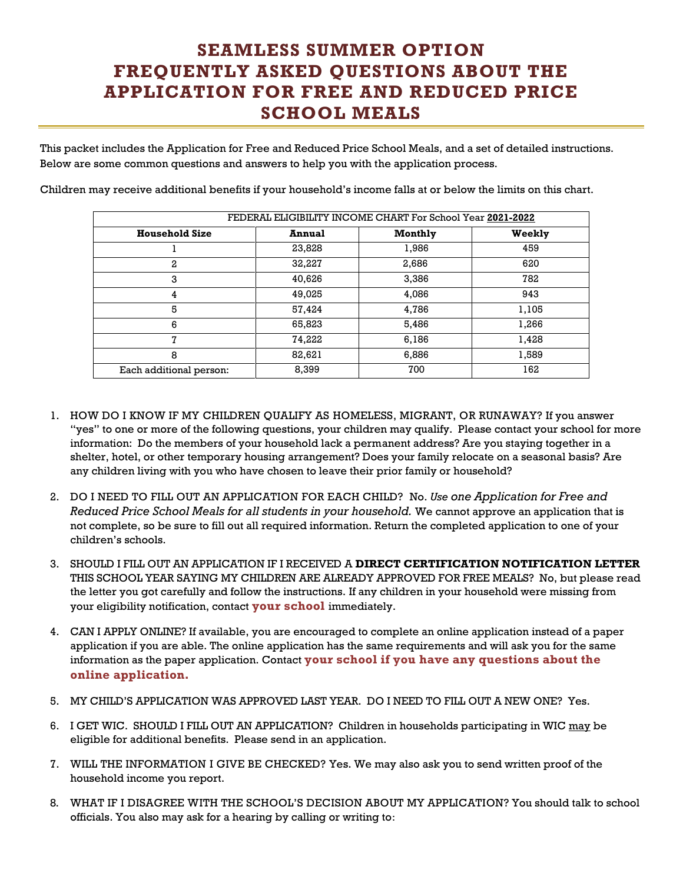## **SEAMLESS SUMMER OPTION FREQUENTLY ASKED QUESTIONS ABOUT THE APPLICATION FOR FREE AND REDUCED PRICE SCHOOL MEALS**

This packet includes the Application for Free and Reduced Price School Meals, and a set of detailed instructions. Below are some common questions and answers to help you with the application process.

Children may receive additional benefits if your household's income falls at or below the limits on this chart.

| FEDERAL ELIGIBILITY INCOME CHART For School Year 2021-2022 |               |         |        |  |
|------------------------------------------------------------|---------------|---------|--------|--|
| <b>Household Size</b>                                      | <b>Annual</b> | Monthly | Weekly |  |
|                                                            | 23,828        | 1,986   | 459    |  |
| 2                                                          | 32,227        | 2,686   | 620    |  |
| 3                                                          | 40,626        | 3,386   | 782    |  |
| 4                                                          | 49,025        | 4,086   | 943    |  |
| 5                                                          | 57,424        | 4,786   | 1,105  |  |
| 6                                                          | 65,823        | 5,486   | 1,266  |  |
| 7                                                          | 74,222        | 6,186   | 1,428  |  |
| 8                                                          | 82,621        | 6,886   | 1,589  |  |
| Each additional person:                                    | 8,399         | 700     | 162    |  |

- 1. HOW DO I KNOW IF MY CHILDREN QUALIFY AS HOMELESS, MIGRANT, OR RUNAWAY? If you answer "yes" to one or more of the following questions, your children may qualify. Please contact your school for more information: Do the members of your household lack a permanent address? Are you staying together in a shelter, hotel, or other temporary housing arrangement? Does your family relocate on a seasonal basis? Are any children living with you who have chosen to leave their prior family or household?
- 2. DO I NEED TO FILL OUT AN APPLICATION FOR EACH CHILD? No. *Use one Application for Free and Reduced Price School Meals for all students in your household.* We cannot approve an application that is not complete, so be sure to fill out all required information. Return the completed application to one of your children's schools.
- 3. SHOULD I FILL OUT AN APPLICATION IF I RECEIVED A **DIRECT CERTIFICATION NOTIFICATION LETTER** THIS SCHOOL YEAR SAYING MY CHILDREN ARE ALREADY APPROVED FOR FREE MEALS? No, but please read the letter you got carefully and follow the instructions. If any children in your household were missing from your eligibility notification, contact **your school** immediately.
- 4. CAN I APPLY ONLINE? If available, you are encouraged to complete an online application instead of a paper application if you are able. The online application has the same requirements and will ask you for the same information as the paper application. Contact **your school if you have any questions about the online application.**
- 5. MY CHILD'S APPLICATION WAS APPROVED LAST YEAR. DO I NEED TO FILL OUT A NEW ONE? Yes.
- 6. I GET WIC. SHOULD I FILL OUT AN APPLICATION? Children in households participating in WIC may be eligible for additional benefits. Please send in an application.
- 7. WILL THE INFORMATION I GIVE BE CHECKED? Yes. We may also ask you to send written proof of the household income you report.
- 8. WHAT IF I DISAGREE WITH THE SCHOOL'S DECISION ABOUT MY APPLICATION? You should talk to school officials. You also may ask for a hearing by calling or writing to: